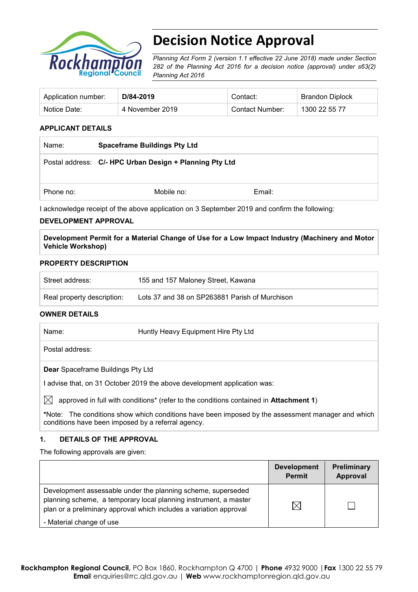

# **Decision Notice Approval**

*Planning Act Form 2 (version 1.1 effective 22 June 2018) made under Section 282 of the Planning Act 2016 for a decision notice (approval) under s63(2) Planning Act 2016*

| Application number: | D/84-2019       | Contact:        | <b>Brandon Diplock</b> |
|---------------------|-----------------|-----------------|------------------------|
| Notice Date:        | 4 November 2019 | Contact Number: | 1300 22 55 77          |

# **APPLICANT DETAILS**

| Name:     | <b>Spaceframe Buildings Pty Ltd</b>                     |        |  |
|-----------|---------------------------------------------------------|--------|--|
|           | Postal address: C/- HPC Urban Design + Planning Pty Ltd |        |  |
| Phone no: | Mobile no:                                              | Email: |  |

I acknowledge receipt of the above application on 3 September 2019 and confirm the following:

### **DEVELOPMENT APPROVAL**

**Development Permit for a Material Change of Use for a Low Impact Industry (Machinery and Motor Vehicle Workshop)**

### **PROPERTY DESCRIPTION**

| Street address:            | 155 and 157 Maloney Street, Kawana             |
|----------------------------|------------------------------------------------|
| Real property description: | Lots 37 and 38 on SP263881 Parish of Murchison |

### **OWNER DETAILS**

| Name:                                                                  | Huntly Heavy Equipment Hire Pty Ltd                                                   |  |  |
|------------------------------------------------------------------------|---------------------------------------------------------------------------------------|--|--|
|                                                                        | Postal address:                                                                       |  |  |
| <b>Dear</b> Spaceframe Buildings Pty Ltd                               |                                                                                       |  |  |
| advise that, on 31 October 2019 the above development application was: |                                                                                       |  |  |
|                                                                        | approved in full with conditions* (refer to the conditions contained in Attachment 1) |  |  |

**\***Note:The conditions show which conditions have been imposed by the assessment manager and which conditions have been imposed by a referral agency.

## **1. DETAILS OF THE APPROVAL**

The following approvals are given:

|                                                                                                                                                                                                        | <b>Development</b><br><b>Permit</b> | Preliminary<br>Approval |
|--------------------------------------------------------------------------------------------------------------------------------------------------------------------------------------------------------|-------------------------------------|-------------------------|
| Development assessable under the planning scheme, superseded<br>planning scheme, a temporary local planning instrument, a master<br>plan or a preliminary approval which includes a variation approval | IX                                  |                         |
| - Material change of use                                                                                                                                                                               |                                     |                         |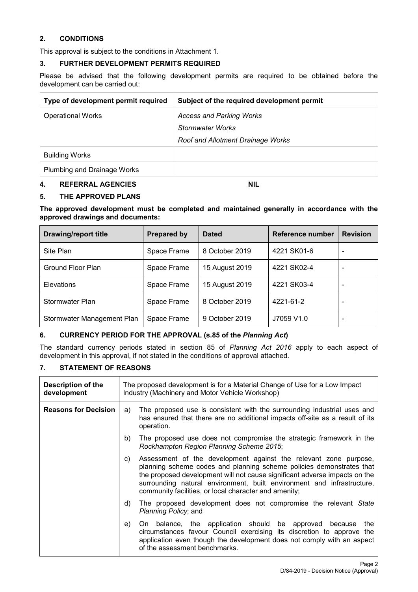# **2. CONDITIONS**

This approval is subject to the conditions in Attachment 1.

# **3. FURTHER DEVELOPMENT PERMITS REQUIRED**

Please be advised that the following development permits are required to be obtained before the development can be carried out:

| Type of development permit required | Subject of the required development permit |
|-------------------------------------|--------------------------------------------|
| <b>Operational Works</b>            | <b>Access and Parking Works</b>            |
|                                     | Stormwater Works                           |
|                                     | Roof and Allotment Drainage Works          |
| <b>Building Works</b>               |                                            |
| Plumbing and Drainage Works         |                                            |

# **4. REFERRAL AGENCIES NIL**

# **5. THE APPROVED PLANS**

**The approved development must be completed and maintained generally in accordance with the approved drawings and documents:**

| <b>Drawing/report title</b> | <b>Prepared by</b> | <b>Dated</b>   | Reference number | <b>Revision</b> |
|-----------------------------|--------------------|----------------|------------------|-----------------|
| Site Plan                   | Space Frame        | 8 October 2019 | 4221 SK01-6      |                 |
| Ground Floor Plan           | Space Frame        | 15 August 2019 | 4221 SK02-4      |                 |
| <b>Elevations</b>           | Space Frame        | 15 August 2019 | 4221 SK03-4      |                 |
| Stormwater Plan             | Space Frame        | 8 October 2019 | 4221-61-2        |                 |
| Stormwater Management Plan  | Space Frame        | 9 October 2019 | J7059 V1.0       | -               |

### **6. CURRENCY PERIOD FOR THE APPROVAL (s.85 of the** *Planning Act***)**

The standard currency periods stated in section 85 of *Planning Act 2016* apply to each aspect of development in this approval, if not stated in the conditions of approval attached.

## **7. STATEMENT OF REASONS**

| Description of the<br>development | The proposed development is for a Material Change of Use for a Low Impact<br>Industry (Machinery and Motor Vehicle Workshop)                                                                                                                                                                                                                                    |  |  |
|-----------------------------------|-----------------------------------------------------------------------------------------------------------------------------------------------------------------------------------------------------------------------------------------------------------------------------------------------------------------------------------------------------------------|--|--|
| <b>Reasons for Decision</b>       | The proposed use is consistent with the surrounding industrial uses and<br>a)<br>has ensured that there are no additional impacts off-site as a result of its<br>operation.                                                                                                                                                                                     |  |  |
|                                   | The proposed use does not compromise the strategic framework in the<br>b)<br>Rockhampton Region Planning Scheme 2015;                                                                                                                                                                                                                                           |  |  |
|                                   | Assessment of the development against the relevant zone purpose,<br>C)<br>planning scheme codes and planning scheme policies demonstrates that<br>the proposed development will not cause significant adverse impacts on the<br>surrounding natural environment, built environment and infrastructure,<br>community facilities, or local character and amenity; |  |  |
|                                   | The proposed development does not compromise the relevant State<br>d)<br><i>Planning Policy</i> ; and                                                                                                                                                                                                                                                           |  |  |
|                                   | On balance, the application should be approved because<br>e)<br>the<br>circumstances favour Council exercising its discretion to approve the<br>application even though the development does not comply with an aspect<br>of the assessment benchmarks.                                                                                                         |  |  |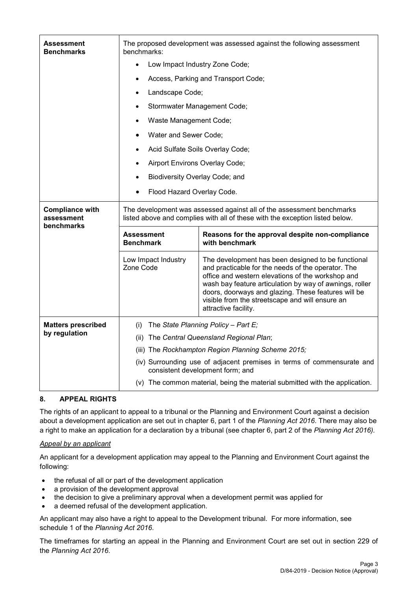| Assessment<br><b>Benchmarks</b>      | The proposed development was assessed against the following assessment<br>benchmarks:                                                                 |                                                                                                                                                                                                                                                                                                                                                            |  |  |  |
|--------------------------------------|-------------------------------------------------------------------------------------------------------------------------------------------------------|------------------------------------------------------------------------------------------------------------------------------------------------------------------------------------------------------------------------------------------------------------------------------------------------------------------------------------------------------------|--|--|--|
|                                      | $\bullet$                                                                                                                                             | Low Impact Industry Zone Code;                                                                                                                                                                                                                                                                                                                             |  |  |  |
|                                      |                                                                                                                                                       | Access, Parking and Transport Code;                                                                                                                                                                                                                                                                                                                        |  |  |  |
|                                      | Landscape Code;<br>$\bullet$                                                                                                                          |                                                                                                                                                                                                                                                                                                                                                            |  |  |  |
|                                      | Stormwater Management Code;                                                                                                                           |                                                                                                                                                                                                                                                                                                                                                            |  |  |  |
|                                      | Waste Management Code;<br>$\bullet$                                                                                                                   |                                                                                                                                                                                                                                                                                                                                                            |  |  |  |
|                                      | Water and Sewer Code;<br>$\bullet$                                                                                                                    |                                                                                                                                                                                                                                                                                                                                                            |  |  |  |
|                                      | $\bullet$                                                                                                                                             | Acid Sulfate Soils Overlay Code;                                                                                                                                                                                                                                                                                                                           |  |  |  |
|                                      | Airport Environs Overlay Code;<br>$\bullet$                                                                                                           |                                                                                                                                                                                                                                                                                                                                                            |  |  |  |
|                                      | Biodiversity Overlay Code; and                                                                                                                        |                                                                                                                                                                                                                                                                                                                                                            |  |  |  |
|                                      | Flood Hazard Overlay Code.                                                                                                                            |                                                                                                                                                                                                                                                                                                                                                            |  |  |  |
|                                      |                                                                                                                                                       |                                                                                                                                                                                                                                                                                                                                                            |  |  |  |
| <b>Compliance with</b><br>assessment | The development was assessed against all of the assessment benchmarks<br>listed above and complies with all of these with the exception listed below. |                                                                                                                                                                                                                                                                                                                                                            |  |  |  |
| benchmarks                           | <b>Assessment</b><br><b>Benchmark</b>                                                                                                                 | Reasons for the approval despite non-compliance<br>with benchmark                                                                                                                                                                                                                                                                                          |  |  |  |
|                                      | Low Impact Industry<br>Zone Code                                                                                                                      | The development has been designed to be functional<br>and practicable for the needs of the operator. The<br>office and western elevations of the workshop and<br>wash bay feature articulation by way of awnings, roller<br>doors, doorways and glazing. These features will be<br>visible from the streetscape and will ensure an<br>attractive facility. |  |  |  |
| <b>Matters prescribed</b>            | (i)                                                                                                                                                   | The State Planning Policy - Part E;                                                                                                                                                                                                                                                                                                                        |  |  |  |
| by regulation                        | (ii)                                                                                                                                                  | The Central Queensland Regional Plan;                                                                                                                                                                                                                                                                                                                      |  |  |  |
|                                      |                                                                                                                                                       | (iii) The Rockhampton Region Planning Scheme 2015;                                                                                                                                                                                                                                                                                                         |  |  |  |
|                                      |                                                                                                                                                       | (iv) Surrounding use of adjacent premises in terms of commensurate and<br>consistent development form; and                                                                                                                                                                                                                                                 |  |  |  |
|                                      |                                                                                                                                                       | (v) The common material, being the material submitted with the application.                                                                                                                                                                                                                                                                                |  |  |  |

# **8. APPEAL RIGHTS**

The rights of an applicant to appeal to a tribunal or the Planning and Environment Court against a decision about a development application are set out in chapter 6, part 1 of the *Planning Act 2016*. There may also be a right to make an application for a declaration by a tribunal (see chapter 6, part 2 of the *Planning Act 2016).*

# *Appeal by an applicant*

An applicant for a development application may appeal to the Planning and Environment Court against the following:

- the refusal of all or part of the development application
- a provision of the development approval
- the decision to give a preliminary approval when a development permit was applied for
- a deemed refusal of the development application.

An applicant may also have a right to appeal to the Development tribunal. For more information, see schedule 1 of the *Planning Act 2016*.

The timeframes for starting an appeal in the Planning and Environment Court are set out in section 229 of the *Planning Act 2016*.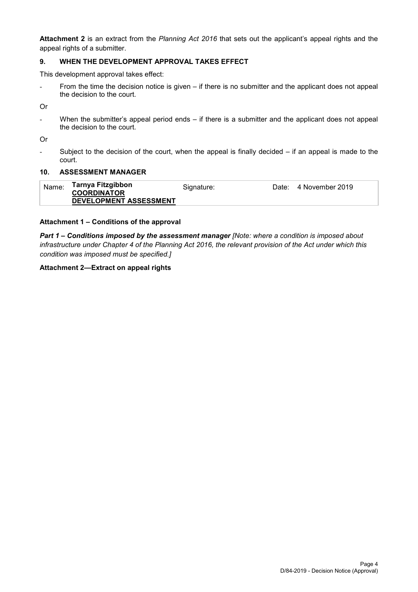**Attachment 2** is an extract from the *Planning Act 2016* that sets out the applicant's appeal rights and the appeal rights of a submitter.

## **9. WHEN THE DEVELOPMENT APPROVAL TAKES EFFECT**

This development approval takes effect:

From the time the decision notice is given – if there is no submitter and the applicant does not appeal the decision to the court.

Or

- When the submitter's appeal period ends – if there is a submitter and the applicant does not appeal the decision to the court.

Or

Subject to the decision of the court, when the appeal is finally decided  $-$  if an appeal is made to the court.

### **10. ASSESSMENT MANAGER**

| Name: | Tarnya Fitzgibbon<br><b>COORDINATOR</b> | Signature: | Date: 4 November 2019 |
|-------|-----------------------------------------|------------|-----------------------|
|       | DEVELOPMENT ASSESSMENT                  |            |                       |

### **Attachment 1 – Conditions of the approval**

*Part 1* **–** *Conditions imposed by the assessment manager [Note: where a condition is imposed about infrastructure under Chapter 4 of the Planning Act 2016, the relevant provision of the Act under which this condition was imposed must be specified.]*

### **Attachment 2—Extract on appeal rights**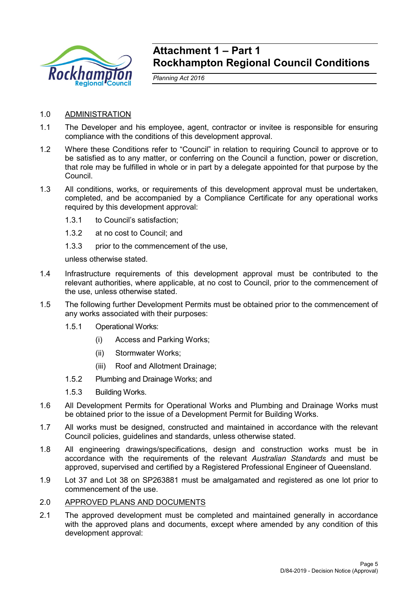

# **Attachment 1 – Part 1 Rockhampton Regional Council Conditions**

*Planning Act 2016*

- 1.0 ADMINISTRATION
- 1.1 The Developer and his employee, agent, contractor or invitee is responsible for ensuring compliance with the conditions of this development approval.
- 1.2 Where these Conditions refer to "Council" in relation to requiring Council to approve or to be satisfied as to any matter, or conferring on the Council a function, power or discretion, that role may be fulfilled in whole or in part by a delegate appointed for that purpose by the Council.
- 1.3 All conditions, works, or requirements of this development approval must be undertaken, completed, and be accompanied by a Compliance Certificate for any operational works required by this development approval:
	- 1.3.1 to Council's satisfaction;
	- 1.3.2 at no cost to Council; and
	- 1.3.3 prior to the commencement of the use,

unless otherwise stated.

- 1.4 Infrastructure requirements of this development approval must be contributed to the relevant authorities, where applicable, at no cost to Council, prior to the commencement of the use, unless otherwise stated.
- 1.5 The following further Development Permits must be obtained prior to the commencement of any works associated with their purposes:
	- 1.5.1 Operational Works:
		- (i) Access and Parking Works;
		- (ii) Stormwater Works;
		- (iii) Roof and Allotment Drainage;
	- 1.5.2 Plumbing and Drainage Works; and
	- 1.5.3 Building Works.
- 1.6 All Development Permits for Operational Works and Plumbing and Drainage Works must be obtained prior to the issue of a Development Permit for Building Works.
- 1.7 All works must be designed, constructed and maintained in accordance with the relevant Council policies, guidelines and standards, unless otherwise stated.
- 1.8 All engineering drawings/specifications, design and construction works must be in accordance with the requirements of the relevant *Australian Standards* and must be approved, supervised and certified by a Registered Professional Engineer of Queensland.
- 1.9 Lot 37 and Lot 38 on SP263881 must be amalgamated and registered as one lot prior to commencement of the use.
- 2.0 APPROVED PLANS AND DOCUMENTS
- 2.1 The approved development must be completed and maintained generally in accordance with the approved plans and documents, except where amended by any condition of this development approval: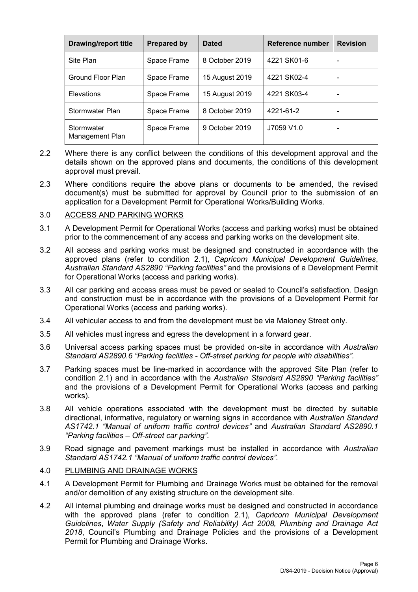| <b>Drawing/report title</b>   | <b>Prepared by</b> | <b>Dated</b>   | Reference number | <b>Revision</b> |
|-------------------------------|--------------------|----------------|------------------|-----------------|
| Site Plan                     | Space Frame        | 8 October 2019 | 4221 SK01-6      |                 |
| Ground Floor Plan             | Space Frame        | 15 August 2019 | 4221 SK02-4      |                 |
| Elevations                    | Space Frame        | 15 August 2019 | 4221 SK03-4      |                 |
| Stormwater Plan               | Space Frame        | 8 October 2019 | 4221-61-2        |                 |
| Stormwater<br>Management Plan | Space Frame        | 9 October 2019 | J7059 V1.0       |                 |

- 2.2 Where there is any conflict between the conditions of this development approval and the details shown on the approved plans and documents, the conditions of this development approval must prevail.
- 2.3 Where conditions require the above plans or documents to be amended, the revised document(s) must be submitted for approval by Council prior to the submission of an application for a Development Permit for Operational Works/Building Works.

# 3.0 ACCESS AND PARKING WORKS

- 3.1 A Development Permit for Operational Works (access and parking works) must be obtained prior to the commencement of any access and parking works on the development site.
- 3.2 All access and parking works must be designed and constructed in accordance with the approved plans (refer to condition 2.1), *Capricorn Municipal Development Guidelines*, *Australian Standard AS2890 "Parking facilities"* and the provisions of a Development Permit for Operational Works (access and parking works).
- 3.3 All car parking and access areas must be paved or sealed to Council's satisfaction. Design and construction must be in accordance with the provisions of a Development Permit for Operational Works (access and parking works).
- 3.4 All vehicular access to and from the development must be via Maloney Street only.
- 3.5 All vehicles must ingress and egress the development in a forward gear.
- 3.6 Universal access parking spaces must be provided on-site in accordance with *Australian Standard AS2890.6 "Parking facilities - Off-street parking for people with disabilities".*
- 3.7 Parking spaces must be line-marked in accordance with the approved Site Plan (refer to condition 2.1) and in accordance with the *Australian Standard AS2890 "Parking facilities"* and the provisions of a Development Permit for Operational Works (access and parking works).
- 3.8 All vehicle operations associated with the development must be directed by suitable directional, informative, regulatory or warning signs in accordance with *Australian Standard AS1742.1 "Manual of uniform traffic control devices"* and *Australian Standard AS2890.1 "Parking facilities – Off-street car parking"*.
- 3.9 Road signage and pavement markings must be installed in accordance with *Australian Standard AS1742.1 "Manual of uniform traffic control devices".*

### 4.0 PLUMBING AND DRAINAGE WORKS

- 4.1 A Development Permit for Plumbing and Drainage Works must be obtained for the removal and/or demolition of any existing structure on the development site.
- 4.2 All internal plumbing and drainage works must be designed and constructed in accordance with the approved plans (refer to condition 2.1), *Capricorn Municipal Development Guidelines*, *Water Supply (Safety and Reliability) Act 2008, Plumbing and Drainage Act 2018*, Council's Plumbing and Drainage Policies and the provisions of a Development Permit for Plumbing and Drainage Works.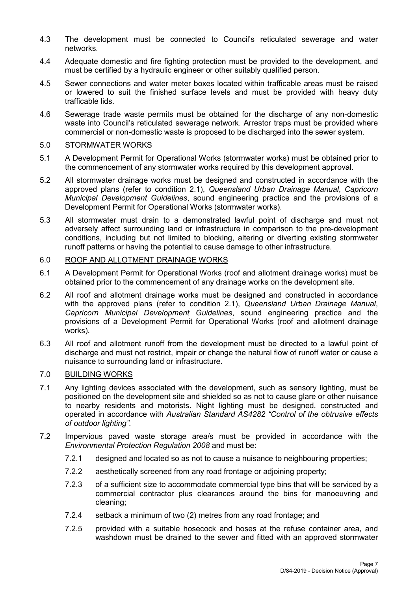- 4.3 The development must be connected to Council's reticulated sewerage and water networks.
- 4.4 Adequate domestic and fire fighting protection must be provided to the development, and must be certified by a hydraulic engineer or other suitably qualified person.
- 4.5 Sewer connections and water meter boxes located within trafficable areas must be raised or lowered to suit the finished surface levels and must be provided with heavy duty trafficable lids.
- 4.6 Sewerage trade waste permits must be obtained for the discharge of any non-domestic waste into Council's reticulated sewerage network. Arrestor traps must be provided where commercial or non-domestic waste is proposed to be discharged into the sewer system.

# 5.0 STORMWATER WORKS

- 5.1 A Development Permit for Operational Works (stormwater works) must be obtained prior to the commencement of any stormwater works required by this development approval.
- 5.2 All stormwater drainage works must be designed and constructed in accordance with the approved plans (refer to condition 2.1), *Queensland Urban Drainage Manual*, *Capricorn Municipal Development Guidelines*, sound engineering practice and the provisions of a Development Permit for Operational Works (stormwater works).
- 5.3 All stormwater must drain to a demonstrated lawful point of discharge and must not adversely affect surrounding land or infrastructure in comparison to the pre-development conditions, including but not limited to blocking, altering or diverting existing stormwater runoff patterns or having the potential to cause damage to other infrastructure.

# 6.0 ROOF AND ALLOTMENT DRAINAGE WORKS

- 6.1 A Development Permit for Operational Works (roof and allotment drainage works) must be obtained prior to the commencement of any drainage works on the development site.
- 6.2 All roof and allotment drainage works must be designed and constructed in accordance with the approved plans (refer to condition 2.1), *Queensland Urban Drainage Manual*, *Capricorn Municipal Development Guidelines*, sound engineering practice and the provisions of a Development Permit for Operational Works (roof and allotment drainage works).
- 6.3 All roof and allotment runoff from the development must be directed to a lawful point of discharge and must not restrict, impair or change the natural flow of runoff water or cause a nuisance to surrounding land or infrastructure.

# 7.0 BUILDING WORKS

- 7.1 Any lighting devices associated with the development, such as sensory lighting, must be positioned on the development site and shielded so as not to cause glare or other nuisance to nearby residents and motorists. Night lighting must be designed, constructed and operated in accordance with *Australian Standard AS4282 "Control of the obtrusive effects of outdoor lighting"*.
- 7.2 Impervious paved waste storage area/s must be provided in accordance with the *Environmental Protection Regulation 2008* and must be:
	- 7.2.1 designed and located so as not to cause a nuisance to neighbouring properties;
	- 7.2.2 aesthetically screened from any road frontage or adjoining property;
	- 7.2.3 of a sufficient size to accommodate commercial type bins that will be serviced by a commercial contractor plus clearances around the bins for manoeuvring and cleaning;
	- 7.2.4 setback a minimum of two (2) metres from any road frontage; and
	- 7.2.5 provided with a suitable hosecock and hoses at the refuse container area, and washdown must be drained to the sewer and fitted with an approved stormwater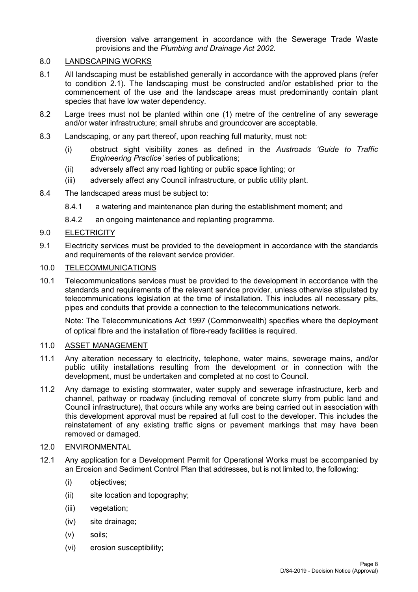diversion valve arrangement in accordance with the Sewerage Trade Waste provisions and the *Plumbing and Drainage Act 2002.*

# 8.0 LANDSCAPING WORKS

- 8.1 All landscaping must be established generally in accordance with the approved plans (refer to condition 2.1). The landscaping must be constructed and/or established prior to the commencement of the use and the landscape areas must predominantly contain plant species that have low water dependency.
- 8.2 Large trees must not be planted within one (1) metre of the centreline of any sewerage and/or water infrastructure; small shrubs and groundcover are acceptable.
- 8.3 Landscaping, or any part thereof, upon reaching full maturity, must not:
	- (i) obstruct sight visibility zones as defined in the *Austroads 'Guide to Traffic Engineering Practice'* series of publications;
	- (ii) adversely affect any road lighting or public space lighting; or
	- (iii) adversely affect any Council infrastructure, or public utility plant.
- 8.4 The landscaped areas must be subject to:
	- 8.4.1 a watering and maintenance plan during the establishment moment; and
	- 8.4.2 an ongoing maintenance and replanting programme.

# 9.0 ELECTRICITY

9.1 Electricity services must be provided to the development in accordance with the standards and requirements of the relevant service provider.

# 10.0 TELECOMMUNICATIONS

10.1 Telecommunications services must be provided to the development in accordance with the standards and requirements of the relevant service provider, unless otherwise stipulated by telecommunications legislation at the time of installation. This includes all necessary pits, pipes and conduits that provide a connection to the telecommunications network.

Note: The Telecommunications Act 1997 (Commonwealth) specifies where the deployment of optical fibre and the installation of fibre-ready facilities is required.

# 11.0 ASSET MANAGEMENT

- 11.1 Any alteration necessary to electricity, telephone, water mains, sewerage mains, and/or public utility installations resulting from the development or in connection with the development, must be undertaken and completed at no cost to Council.
- 11.2 Any damage to existing stormwater, water supply and sewerage infrastructure, kerb and channel, pathway or roadway (including removal of concrete slurry from public land and Council infrastructure), that occurs while any works are being carried out in association with this development approval must be repaired at full cost to the developer. This includes the reinstatement of any existing traffic signs or pavement markings that may have been removed or damaged.

### 12.0 ENVIRONMENTAL

- 12.1 Any application for a Development Permit for Operational Works must be accompanied by an Erosion and Sediment Control Plan that addresses, but is not limited to, the following:
	- (i) objectives;
	- (ii) site location and topography;
	- (iii) vegetation;
	- (iv) site drainage;
	- (v) soils;
	- (vi) erosion susceptibility;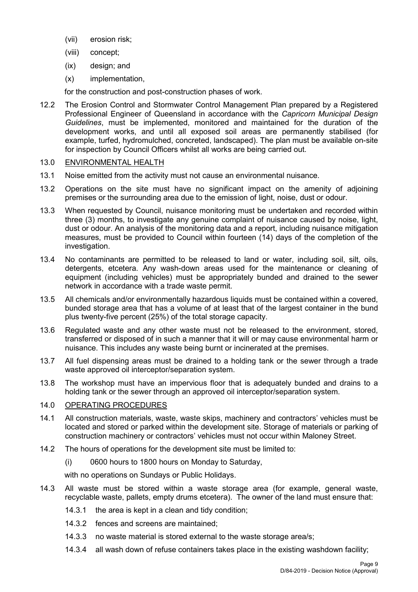- (vii) erosion risk;
- (viii) concept;
- (ix) design; and
- (x) implementation,

for the construction and post-construction phases of work.

12.2 The Erosion Control and Stormwater Control Management Plan prepared by a Registered Professional Engineer of Queensland in accordance with the *Capricorn Municipal Design Guidelines*, must be implemented, monitored and maintained for the duration of the development works, and until all exposed soil areas are permanently stabilised (for example, turfed, hydromulched, concreted, landscaped). The plan must be available on-site for inspection by Council Officers whilst all works are being carried out.

# 13.0 ENVIRONMENTAL HEALTH

- 13.1 Noise emitted from the activity must not cause an environmental nuisance.
- 13.2 Operations on the site must have no significant impact on the amenity of adjoining premises or the surrounding area due to the emission of light, noise, dust or odour.
- 13.3 When requested by Council, nuisance monitoring must be undertaken and recorded within three (3) months, to investigate any genuine complaint of nuisance caused by noise, light, dust or odour. An analysis of the monitoring data and a report, including nuisance mitigation measures, must be provided to Council within fourteen (14) days of the completion of the investigation.
- 13.4 No contaminants are permitted to be released to land or water, including soil, silt, oils, detergents, etcetera. Any wash-down areas used for the maintenance or cleaning of equipment (including vehicles) must be appropriately bunded and drained to the sewer network in accordance with a trade waste permit.
- 13.5 All chemicals and/or environmentally hazardous liquids must be contained within a covered, bunded storage area that has a volume of at least that of the largest container in the bund plus twenty-five percent (25%) of the total storage capacity.
- 13.6 Regulated waste and any other waste must not be released to the environment, stored, transferred or disposed of in such a manner that it will or may cause environmental harm or nuisance. This includes any waste being burnt or incinerated at the premises.
- 13.7 All fuel dispensing areas must be drained to a holding tank or the sewer through a trade waste approved oil interceptor/separation system.
- 13.8 The workshop must have an impervious floor that is adequately bunded and drains to a holding tank or the sewer through an approved oil interceptor/separation system.

# 14.0 OPERATING PROCEDURES

- 14.1 All construction materials, waste, waste skips, machinery and contractors' vehicles must be located and stored or parked within the development site. Storage of materials or parking of construction machinery or contractors' vehicles must not occur within Maloney Street.
- 14.2 The hours of operations for the development site must be limited to:
	- (i) 0600 hours to 1800 hours on Monday to Saturday,

with no operations on Sundays or Public Holidays.

- 14.3 All waste must be stored within a waste storage area (for example, general waste, recyclable waste, pallets, empty drums etcetera). The owner of the land must ensure that:
	- 14.3.1 the area is kept in a clean and tidy condition;
	- 14.3.2 fences and screens are maintained;
	- 14.3.3 no waste material is stored external to the waste storage area/s;
	- 14.3.4 all wash down of refuse containers takes place in the existing washdown facility;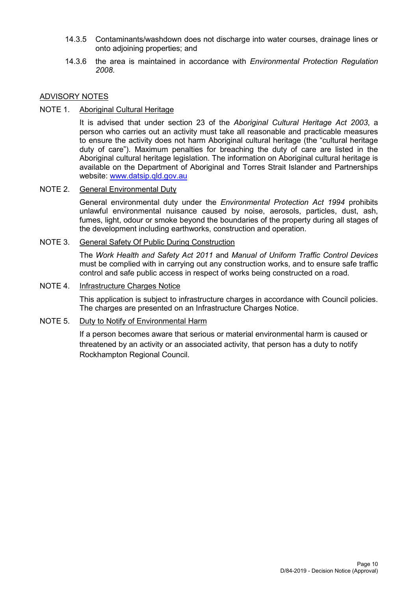- 14.3.5 Contaminants/washdown does not discharge into water courses, drainage lines or onto adjoining properties; and
- 14.3.6 the area is maintained in accordance with *Environmental Protection Regulation 2008*.

# ADVISORY NOTES

NOTE 1. Aboriginal Cultural Heritage

It is advised that under section 23 of the *Aboriginal Cultural Heritage Act 2003*, a person who carries out an activity must take all reasonable and practicable measures to ensure the activity does not harm Aboriginal cultural heritage (the "cultural heritage duty of care"). Maximum penalties for breaching the duty of care are listed in the Aboriginal cultural heritage legislation. The information on Aboriginal cultural heritage is available on the Department of Aboriginal and Torres Strait Islander and Partnerships website: [www.datsip.qld.gov.au](http://www.datsip.qld.gov.au/)

# NOTE 2. General Environmental Duty

General environmental duty under the *Environmental Protection Act 1994* prohibits unlawful environmental nuisance caused by noise, aerosols, particles, dust, ash, fumes, light, odour or smoke beyond the boundaries of the property during all stages of the development including earthworks, construction and operation.

# NOTE 3. General Safety Of Public During Construction

The *Work Health and Safety Act 2011* and *Manual of Uniform Traffic Control Devices* must be complied with in carrying out any construction works, and to ensure safe traffic control and safe public access in respect of works being constructed on a road.

# NOTE 4. Infrastructure Charges Notice

This application is subject to infrastructure charges in accordance with Council policies. The charges are presented on an Infrastructure Charges Notice.

# NOTE 5. Duty to Notify of Environmental Harm

If a person becomes aware that serious or material environmental harm is caused or threatened by an activity or an associated activity, that person has a duty to notify Rockhampton Regional Council.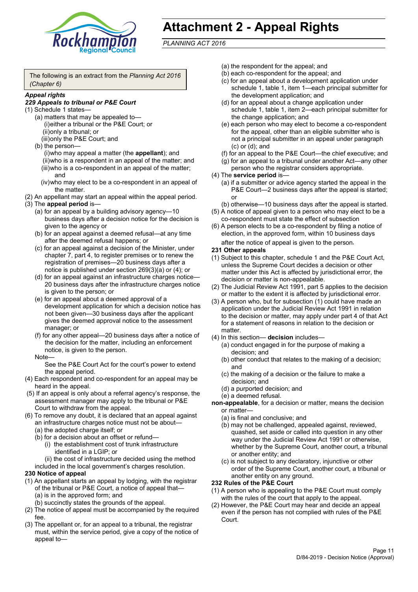

# **Attachment 2 - Appeal Rights**

*PLANNING ACT 2016*

The following is an extract from the *Planning Act 2016 (Chapter 6)*

#### *Appeal rights*

## *229 Appeals to tribunal or P&E Court*

- (1) Schedule 1 states—
	- (a) matters that may be appealed to— (i)either a tribunal or the P&E Court; or (ii)only a tribunal; or (iii)only the P&E Court; and
	- (b) the person—

(i)who may appeal a matter (the **appellant**); and (ii)who is a respondent in an appeal of the matter; and (iii)who is a co-respondent in an appeal of the matter; and

- (iv)who may elect to be a co-respondent in an appeal of the matter.
- (2) An appellant may start an appeal within the appeal period.
- (3) The **appeal period** is—
	- (a) for an appeal by a building advisory agency—10 business days after a decision notice for the decision is given to the agency or
	- (b) for an appeal against a deemed refusal—at any time after the deemed refusal happens; or
	- (c) for an appeal against a decision of the Minister, under chapter 7, part 4, to register premises or to renew the registration of premises—20 business days after a notice is published under section 269(3)(a) or (4); or
	- (d) for an appeal against an infrastructure charges notice— 20 business days after the infrastructure charges notice is given to the person; or
	- (e) for an appeal about a deemed approval of a development application for which a decision notice has not been given—30 business days after the applicant gives the deemed approval notice to the assessment manager; or
	- (f) for any other appeal—20 business days after a notice of the decision for the matter, including an enforcement notice, is given to the person.

#### Note—

See the P&E Court Act for the court's power to extend the appeal period.

- (4) Each respondent and co-respondent for an appeal may be heard in the appeal.
- (5) If an appeal is only about a referral agency's response, the assessment manager may apply to the tribunal or P&E Court to withdraw from the appeal.
- (6) To remove any doubt, it is declared that an appeal against an infrastructure charges notice must not be about—
	- (a) the adopted charge itself; or
	- (b) for a decision about an offset or refund—
		- (i) the establishment cost of trunk infrastructure identified in a LGIP; or

(ii) the cost of infrastructure decided using the method

included in the local government's charges resolution.

### **230 Notice of appeal**

- (1) An appellant starts an appeal by lodging, with the registrar of the tribunal or P&E Court, a notice of appeal that—
	- (a) is in the approved form; and
	- (b) succinctly states the grounds of the appeal.
- (2) The notice of appeal must be accompanied by the required fee.
- (3) The appellant or, for an appeal to a tribunal, the registrar must, within the service period, give a copy of the notice of appeal to—
- (a) the respondent for the appeal; and
- (b) each co-respondent for the appeal; and
- (c) for an appeal about a development application under schedule 1, table 1, item 1—each principal submitter for the development application; and
- (d) for an appeal about a change application under schedule 1, table 1, item 2—each principal submitter for the change application; and
- (e) each person who may elect to become a co-respondent for the appeal, other than an eligible submitter who is not a principal submitter in an appeal under paragraph (c) or (d); and
- (f) for an appeal to the P&E Court—the chief executive; and
- (g) for an appeal to a tribunal under another Act—any other person who the registrar considers appropriate.
- (4) The **service period** is—
	- (a) if a submitter or advice agency started the appeal in the P&E Court—2 business days after the appeal is started; or
	- (b) otherwise—10 business days after the appeal is started.
- (5) A notice of appeal given to a person who may elect to be a co-respondent must state the effect of subsection
- (6) A person elects to be a co-respondent by filing a notice of election, in the approved form, within 10 business days after the notice of appeal is given to the person*.*
- **231 Other appeals**
- (1) Subject to this chapter, schedule 1 and the P&E Court Act, unless the Supreme Court decides a decision or other matter under this Act is affected by jurisdictional error, the decision or matter is non-appealable.
- (2) The Judicial Review Act 1991, part 5 applies to the decision or matter to the extent it is affected by jurisdictional error.
- (3) A person who, but for subsection (1) could have made an application under the Judicial Review Act 1991 in relation to the decision or matter, may apply under part 4 of that Act for a statement of reasons in relation to the decision or matter.
- (4) In this section— **decision** includes—
	- (a) conduct engaged in for the purpose of making a decision; and
	- (b) other conduct that relates to the making of a decision; and
	- (c) the making of a decision or the failure to make a decision; and
	- (d) a purported decision; and
	- (e) a deemed refusal.
- **non-appealable**, for a decision or matter, means the decision or matter—
	- (a) is final and conclusive; and
	- (b) may not be challenged, appealed against, reviewed, quashed, set aside or called into question in any other way under the Judicial Review Act 1991 or otherwise, whether by the Supreme Court, another court, a tribunal or another entity; and
	- (c) is not subject to any declaratory, injunctive or other order of the Supreme Court, another court, a tribunal or another entity on any ground.

#### **232 Rules of the P&E Court**

- (1) A person who is appealing to the P&E Court must comply with the rules of the court that apply to the appeal.
- (2) However, the P&E Court may hear and decide an appeal even if the person has not complied with rules of the P&E Court.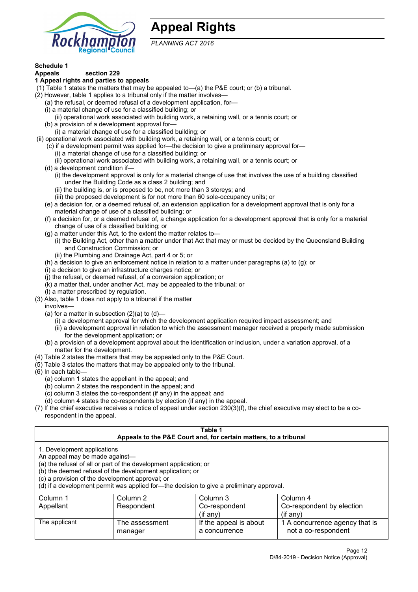

# **Appeal Rights**

*PLANNING ACT 2016*

# **Schedule 1**

#### **Appeals section 229 1 Appeal rights and parties to appeals**

- (1) Table 1 states the matters that may be appealed to—(a) the P&E court; or (b) a tribunal.
- (2) However, table 1 applies to a tribunal only if the matter involves—
	- (a) the refusal, or deemed refusal of a development application, for—
	- (i) a material change of use for a classified building; or
	- (ii) operational work associated with building work, a retaining wall, or a tennis court; or
	- (b) a provision of a development approval for—
	- (i) a material change of use for a classified building; or
- (ii) operational work associated with building work, a retaining wall, or a tennis court; or
	- (c) if a development permit was applied for—the decision to give a preliminary approval for—
		- (i) a material change of use for a classified building; or
		- (ii) operational work associated with building work, a retaining wall, or a tennis court; or
	- (d) a development condition if—
		- (i) the development approval is only for a material change of use that involves the use of a building classified under the Building Code as a class 2 building; and
		- (ii) the building is, or is proposed to be, not more than 3 storeys; and
		- (iii) the proposed development is for not more than 60 sole-occupancy units; or
	- (e) a decision for, or a deemed refusal of, an extension application for a development approval that is only for a material change of use of a classified building; or
	- (f) a decision for, or a deemed refusal of, a change application for a development approval that is only for a material change of use of a classified building; or
	- (g) a matter under this Act, to the extent the matter relates to—
		- (i) the Building Act, other than a matter under that Act that may or must be decided by the Queensland Building and Construction Commission; or
		- (ii) the Plumbing and Drainage Act, part 4 or 5; or
	- (h) a decision to give an enforcement notice in relation to a matter under paragraphs (a) to (g); or
	- (i) a decision to give an infrastructure charges notice; or
	- (j) the refusal, or deemed refusal, of a conversion application; or
	- (k) a matter that, under another Act, may be appealed to the tribunal; or
	- (l) a matter prescribed by regulation.
- (3) Also, table 1 does not apply to a tribunal if the matter

involves—

- (a) for a matter in subsection  $(2)(a)$  to  $(d)$ 
	- (i) a development approval for which the development application required impact assessment; and
	- (ii) a development approval in relation to which the assessment manager received a properly made submission for the development application; or
- (b) a provision of a development approval about the identification or inclusion, under a variation approval, of a matter for the development.
- (4) Table 2 states the matters that may be appealed only to the P&E Court.
- (5) Table 3 states the matters that may be appealed only to the tribunal.
- (6) In each table—
	- (a) column 1 states the appellant in the appeal; and
	- (b) column 2 states the respondent in the appeal; and
	- (c) column 3 states the co-respondent (if any) in the appeal; and
	- (d) column 4 states the co-respondents by election (if any) in the appeal.
- (7) If the chief executive receives a notice of appeal under section 230(3)(f), the chief executive may elect to be a corespondent in the appeal.

| Table 1<br>Appeals to the P&E Court and, for certain matters, to a tribunal                                                                                                                                                                                                                                                                    |                           |                                         |                                                       |  |
|------------------------------------------------------------------------------------------------------------------------------------------------------------------------------------------------------------------------------------------------------------------------------------------------------------------------------------------------|---------------------------|-----------------------------------------|-------------------------------------------------------|--|
| 1. Development applications<br>An appeal may be made against-<br>(a) the refusal of all or part of the development application; or<br>(b) the deemed refusal of the development application; or<br>(c) a provision of the development approval; or<br>(d) if a development permit was applied for—the decision to give a preliminary approval. |                           |                                         |                                                       |  |
| Column 1<br>Column 2<br>Column 3<br>Column 4<br>Co-respondent by election<br>Respondent<br>Co-respondent<br>Appellant<br>$($ if any $)$<br>$(i$ f anv $)$                                                                                                                                                                                      |                           |                                         |                                                       |  |
| The applicant                                                                                                                                                                                                                                                                                                                                  | The assessment<br>manager | If the appeal is about<br>a concurrence | 1 A concurrence agency that is<br>not a co-respondent |  |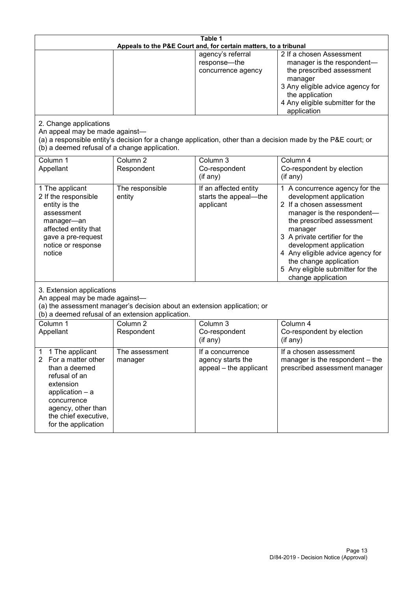| Table 1<br>Appeals to the P&E Court and, for certain matters, to a tribunal                                                                                                                           |                                   |                                                                 |                                                                                                                                                                                                                                                                                                                                                 |  |
|-------------------------------------------------------------------------------------------------------------------------------------------------------------------------------------------------------|-----------------------------------|-----------------------------------------------------------------|-------------------------------------------------------------------------------------------------------------------------------------------------------------------------------------------------------------------------------------------------------------------------------------------------------------------------------------------------|--|
|                                                                                                                                                                                                       |                                   | agency's referral<br>response-the<br>concurrence agency         | 2 If a chosen Assessment<br>manager is the respondent-<br>the prescribed assessment<br>manager<br>3 Any eligible advice agency for<br>the application<br>4 Any eligible submitter for the<br>application                                                                                                                                        |  |
| 2. Change applications<br>An appeal may be made against-<br>(b) a deemed refusal of a change application.                                                                                             |                                   |                                                                 | (a) a responsible entity's decision for a change application, other than a decision made by the P&E court; or                                                                                                                                                                                                                                   |  |
| Column 1<br>Appellant                                                                                                                                                                                 | Column <sub>2</sub><br>Respondent | Column 3<br>Co-respondent<br>(if any)                           | Column 4<br>Co-respondent by election<br>(if any)                                                                                                                                                                                                                                                                                               |  |
| 1 The applicant<br>2 If the responsible<br>entity is the<br>assessment<br>manager-an<br>affected entity that<br>gave a pre-request<br>notice or response<br>notice                                    | The responsible<br>entity         | If an affected entity<br>starts the appeal-the<br>applicant     | 1 A concurrence agency for the<br>development application<br>2 If a chosen assessment<br>manager is the respondent-<br>the prescribed assessment<br>manager<br>3 A private certifier for the<br>development application<br>4 Any eligible advice agency for<br>the change application<br>5 Any eligible submitter for the<br>change application |  |
| 3. Extension applications<br>An appeal may be made against-<br>(a) the assessment manager's decision about an extension application; or<br>(b) a deemed refusal of an extension application.          |                                   |                                                                 |                                                                                                                                                                                                                                                                                                                                                 |  |
| Column 1<br>Appellant                                                                                                                                                                                 | Column <sub>2</sub><br>Respondent | Column 3<br>Co-respondent<br>(if any)                           | Column 4<br>Co-respondent by election<br>(if any)                                                                                                                                                                                                                                                                                               |  |
| 1 The applicant<br>1<br>2<br>For a matter other<br>than a deemed<br>refusal of an<br>extension<br>application - a<br>concurrence<br>agency, other than<br>the chief executive,<br>for the application | The assessment<br>manager         | If a concurrence<br>agency starts the<br>appeal - the applicant | If a chosen assessment<br>manager is the respondent - the<br>prescribed assessment manager                                                                                                                                                                                                                                                      |  |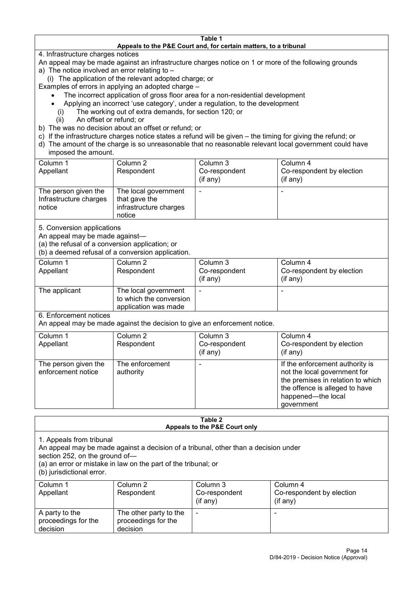#### **Table 1 Appeals to the P&E Court and, for certain matters, to a tribunal**

4. Infrastructure charges notices

- An appeal may be made against an infrastructure charges notice on 1 or more of the following grounds
- a) The notice involved an error relating to
	- (i) The application of the relevant adopted charge; or
- Examples of errors in applying an adopted charge
	- The incorrect application of gross floor area for a non-residential development
	- Applying an incorrect 'use category', under a regulation, to the development
	- (i) The working out of extra demands, for section 120; or
	- (ii) An offset or refund; or
- b) The was no decision about an offset or refund; or
- c) If the infrastructure charges notice states a refund will be given the timing for giving the refund; or
- d) The amount of the charge is so unreasonable that no reasonable relevant local government could have

# imposed the amount.

| Column 1               | Column 2               | Column 3      | Column 4                  |
|------------------------|------------------------|---------------|---------------------------|
| Appellant              | Respondent             | Co-respondent | Co-respondent by election |
|                        |                        | (if any)      | $($ if any $)$            |
| The person given the   | The local government   |               |                           |
| Infrastructure charges | that gave the          |               |                           |
| notice                 | infrastructure charges |               |                           |
|                        | notice                 |               |                           |

5. Conversion applications

An appeal may be made against—

(a) the refusal of a conversion application; or

(b) a deemed refusal of a conversion application.

| Column 1<br>Appellant | Column 2<br>Respondent                                                  | Column 3<br>Co-respondent<br>$($ if any $)$ | Column 4<br>Co-respondent by election<br>$($ if any $)$ |
|-----------------------|-------------------------------------------------------------------------|---------------------------------------------|---------------------------------------------------------|
| The applicant         | The local government<br>to which the conversion<br>application was made |                                             | $\overline{\phantom{0}}$                                |

6. Enforcement notices

An appeal may be made against the decision to give an enforcement notice.

| Column 1<br>Appellant                      | Column 2<br>Respondent       | Column 3<br>Co-respondent<br>(if any) | Column 4<br>Co-respondent by election<br>(if any)                                                                                                                          |
|--------------------------------------------|------------------------------|---------------------------------------|----------------------------------------------------------------------------------------------------------------------------------------------------------------------------|
| The person given the<br>enforcement notice | The enforcement<br>authority |                                       | If the enforcement authority is<br>not the local government for<br>the premises in relation to which<br>the offence is alleged to have<br>happened-the local<br>government |

#### **Table 2 Appeals to the P&E Court only**

1. Appeals from tribunal

An appeal may be made against a decision of a tribunal, other than a decision under

section 252, on the ground of—

(a) an error or mistake in law on the part of the tribunal; or

(b) jurisdictional error.

| Column 1<br>Appellant                             | Column 2<br>Respondent                                    | Column 3<br>Co-respondent<br>$($ if any $)$ | Column 4<br>Co-respondent by election<br>$($ if any $)$ |
|---------------------------------------------------|-----------------------------------------------------------|---------------------------------------------|---------------------------------------------------------|
| A party to the<br>proceedings for the<br>decision | The other party to the<br>proceedings for the<br>decision | ٠                                           |                                                         |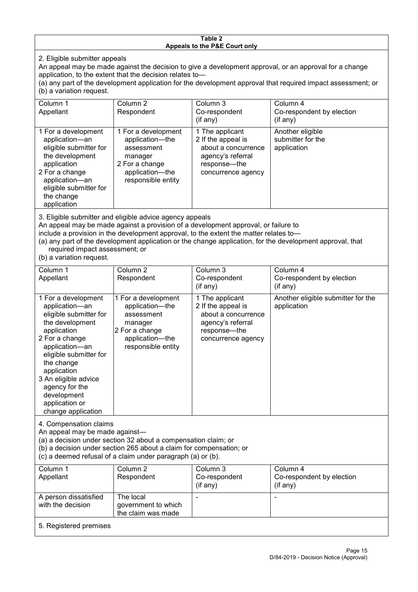#### **Table 2 Appeals to the P&E Court only**

2. Eligible submitter appeals

An appeal may be made against the decision to give a development approval, or an approval for a change application, to the extent that the decision relates to—

(a) any part of the development application for the development approval that required impact assessment; or (b) a variation request.

| Column 1                                                                                                                                                                                                                          | Column 2                                                                                                                   | Column 3                                                                                                                  | Column 4                                             |  |
|-----------------------------------------------------------------------------------------------------------------------------------------------------------------------------------------------------------------------------------|----------------------------------------------------------------------------------------------------------------------------|---------------------------------------------------------------------------------------------------------------------------|------------------------------------------------------|--|
| Appellant                                                                                                                                                                                                                         | Respondent                                                                                                                 | Co-respondent                                                                                                             | Co-respondent by election                            |  |
|                                                                                                                                                                                                                                   |                                                                                                                            | (if any)                                                                                                                  | (if any)                                             |  |
| 1 For a development<br>application-an<br>eligible submitter for<br>the development<br>application<br>2 For a change<br>application-an<br>eligible submitter for<br>the change<br>application                                      | 1 For a development<br>application-the<br>assessment<br>manager<br>2 For a change<br>application-the<br>responsible entity | 1 The applicant<br>2 If the appeal is<br>about a concurrence<br>agency's referral<br>response---the<br>concurrence agency | Another eligible<br>submitter for the<br>application |  |
| $\mathsf{A}$ . Figure 1. The contract of the contract of the contract of the contract of the contract of the contract of the contract of the contract of the contract of the contract of the contract of the contract of the cont |                                                                                                                            |                                                                                                                           |                                                      |  |

3. Eligible submitter and eligible advice agency appeals

An appeal may be made against a provision of a development approval, or failure to

include a provision in the development approval, to the extent the matter relates to—

(a) any part of the development application or the change application, for the development approval, that required impact assessment; or

(b) a variation request.

| Column 1<br>Appellant                                                                                                                                                                                                                                                                         | Column <sub>2</sub><br>Respondent                                                                                          | Column 3<br>Co-respondent                                                                                               | Column 4<br>Co-respondent by election             |
|-----------------------------------------------------------------------------------------------------------------------------------------------------------------------------------------------------------------------------------------------------------------------------------------------|----------------------------------------------------------------------------------------------------------------------------|-------------------------------------------------------------------------------------------------------------------------|---------------------------------------------------|
|                                                                                                                                                                                                                                                                                               |                                                                                                                            | (if any)                                                                                                                | (if any)                                          |
| 1 For a development<br>application-an<br>eligible submitter for<br>the development<br>application<br>2 For a change<br>application-an<br>eligible submitter for<br>the change<br>application<br>3 An eligible advice<br>agency for the<br>development<br>application or<br>change application | 1 For a development<br>application-the<br>assessment<br>manager<br>2 For a change<br>application-the<br>responsible entity | 1 The applicant<br>2 If the appeal is<br>about a concurrence<br>agency's referral<br>response—the<br>concurrence agency | Another eligible submitter for the<br>application |
| 4. Compensation claims<br>An appeal may be made against-<br>(a) a decision under section 32 about a compensation claim; or<br>(b) a decision under section 265 about a claim for compensation; or<br>(c) a deemed refusal of a claim under paragraph (a) or (b).                              |                                                                                                                            |                                                                                                                         |                                                   |
| Column 1<br>Appellant                                                                                                                                                                                                                                                                         | Column 2<br>Respondent                                                                                                     | Column 3<br>Co-respondent<br>(if any)                                                                                   | Column 4<br>Co-respondent by election<br>(if any) |
| A person dissatisfied<br>with the decision                                                                                                                                                                                                                                                    | The local<br>government to which<br>the claim was made                                                                     |                                                                                                                         |                                                   |
| 5. Registered premises                                                                                                                                                                                                                                                                        |                                                                                                                            |                                                                                                                         |                                                   |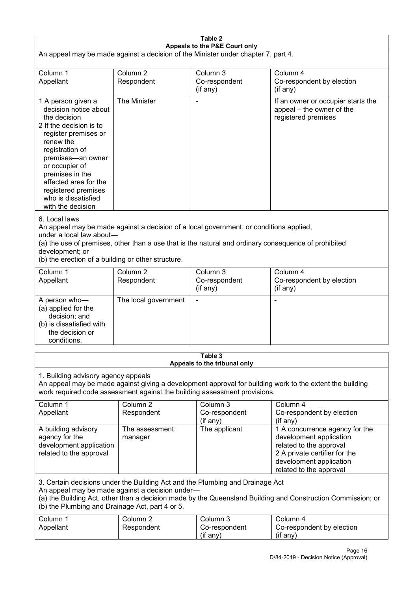| Table 2<br>Appeals to the P&E Court only                                                                                                                                                                                                                                                                             |                                   |                                         |                                                                                                                                                                             |  |
|----------------------------------------------------------------------------------------------------------------------------------------------------------------------------------------------------------------------------------------------------------------------------------------------------------------------|-----------------------------------|-----------------------------------------|-----------------------------------------------------------------------------------------------------------------------------------------------------------------------------|--|
| An appeal may be made against a decision of the Minister under chapter 7, part 4.                                                                                                                                                                                                                                    |                                   |                                         |                                                                                                                                                                             |  |
| Column 1<br>Appellant                                                                                                                                                                                                                                                                                                | Column <sub>2</sub><br>Respondent | Column 3<br>Co-respondent<br>(if any)   | Column 4<br>Co-respondent by election<br>(if any)                                                                                                                           |  |
| 1 A person given a<br>decision notice about<br>the decision<br>2 If the decision is to<br>register premises or<br>renew the<br>registration of<br>premises-an owner<br>or occupier of<br>premises in the<br>affected area for the<br>registered premises<br>who is dissatisfied<br>with the decision                 | The Minister                      |                                         | If an owner or occupier starts the<br>appeal - the owner of the<br>registered premises                                                                                      |  |
| 6. Local laws<br>An appeal may be made against a decision of a local government, or conditions applied,<br>under a local law about-<br>(a) the use of premises, other than a use that is the natural and ordinary consequence of prohibited<br>development; or<br>(b) the erection of a building or other structure. |                                   |                                         |                                                                                                                                                                             |  |
| Column 1<br>Appellant                                                                                                                                                                                                                                                                                                | Column <sub>2</sub><br>Respondent | Column 3<br>Co-respondent<br>(if any)   | Column 4<br>Co-respondent by election<br>(if any)                                                                                                                           |  |
| A person who-<br>(a) applied for the<br>decision; and<br>(b) is dissatisfied with<br>the decision or<br>conditions.                                                                                                                                                                                                  | The local government              |                                         | ٠                                                                                                                                                                           |  |
|                                                                                                                                                                                                                                                                                                                      |                                   | Table 3<br>Appeals to the tribunal only |                                                                                                                                                                             |  |
| 1. Building advisory agency appeals<br>An appeal may be made against giving a development approval for building work to the extent the building<br>work required code assessment against the building assessment provisions.                                                                                         |                                   |                                         |                                                                                                                                                                             |  |
| Column 1<br>Appellant                                                                                                                                                                                                                                                                                                | Column <sub>2</sub><br>Respondent | Column 3<br>Co-respondent<br>(if any)   | Column 4<br>Co-respondent by election<br>(if any)                                                                                                                           |  |
| A building advisory<br>agency for the<br>development application<br>related to the approval                                                                                                                                                                                                                          | The assessment<br>manager         | The applicant                           | 1 A concurrence agency for the<br>development application<br>related to the approval<br>2 A private certifier for the<br>development application<br>related to the approval |  |
| 3. Certain decisions under the Building Act and the Plumbing and Drainage Act<br>An appeal may be made against a decision under-<br>(a) the Building Act, other than a decision made by the Queensland Building and Construction Commission; or<br>(b) the Plumbing and Drainage Act, part 4 or 5.                   |                                   |                                         |                                                                                                                                                                             |  |
| Column 1<br>Appellant                                                                                                                                                                                                                                                                                                | Column <sub>2</sub><br>Respondent | Column 3<br>Co-respondent<br>(if any)   | Column 4<br>Co-respondent by election<br>(if any)                                                                                                                           |  |